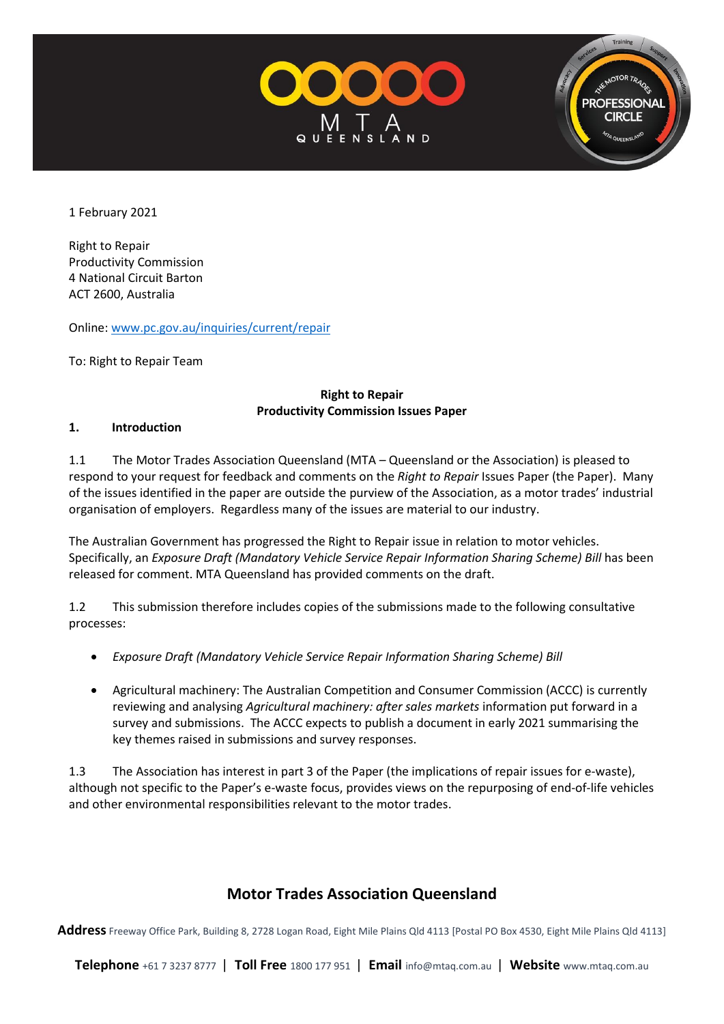



1 February 2021

Right to Repair Productivity Commission 4 National Circuit Barton ACT 2600, Australia

Online[: www.pc.gov.au/inquiries/current/repair](http://www.pc.gov.au/inquiries/current/repair)

To: Right to Repair Team

#### **Right to Repair Productivity Commission Issues Paper**

#### **1. Introduction**

1.1 The Motor Trades Association Queensland (MTA – Queensland or the Association) is pleased to respond to your request for feedback and comments on the *Right to Repair* Issues Paper (the Paper). Many of the issues identified in the paper are outside the purview of the Association, as a motor trades' industrial organisation of employers. Regardless many of the issues are material to our industry.

The Australian Government has progressed the Right to Repair issue in relation to motor vehicles. Specifically, an *Exposure Draft (Mandatory Vehicle Service Repair Information Sharing Scheme) Bill* has been released for comment. MTA Queensland has provided comments on the draft.

1.2 This submission therefore includes copies of the submissions made to the following consultative processes:

- *Exposure Draft (Mandatory Vehicle Service Repair Information Sharing Scheme) Bill*
- Agricultural machinery: The Australian Competition and Consumer Commission (ACCC) is currently reviewing and analysing *Agricultural machinery: after sales markets* information put forward in a survey and submissions. The ACCC expects to publish a document in early 2021 summarising the key themes raised in submissions and survey responses.

1.3 The Association has interest in part 3 of the Paper (the implications of repair issues for e-waste), although not specific to the Paper's e-waste focus, provides views on the repurposing of end-of-life vehicles and other environmental responsibilities relevant to the motor trades.

# **Motor Trades Association Queensland**

**Address** Freeway Office Park, Building 8, 2728 Logan Road, Eight Mile Plains Qld 4113 [Postal PO Box 4530, Eight Mile Plains Qld 4113]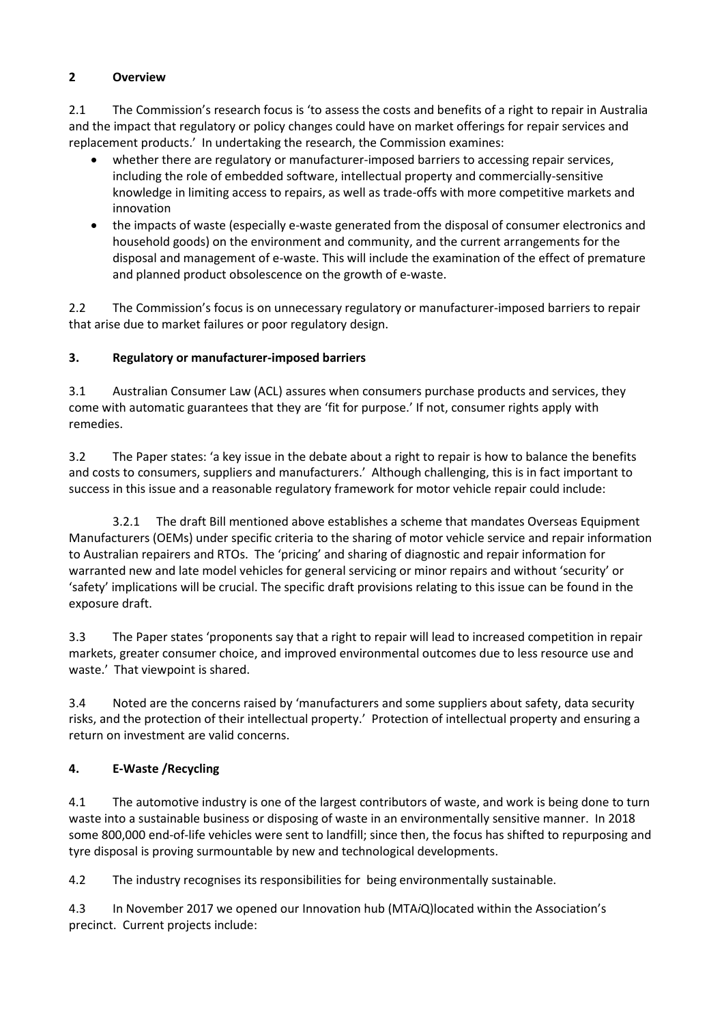## **2 Overview**

2.1 The Commission's research focus is 'to assess the costs and benefits of a right to repair in Australia and the impact that regulatory or policy changes could have on market offerings for repair services and replacement products.' In undertaking the research, the Commission examines:

- whether there are regulatory or manufacturer-imposed barriers to accessing repair services, including the role of embedded software, intellectual property and commercially-sensitive knowledge in limiting access to repairs, as well as trade-offs with more competitive markets and innovation
- the impacts of waste (especially e-waste generated from the disposal of consumer electronics and household goods) on the environment and community, and the current arrangements for the disposal and management of e-waste. This will include the examination of the effect of premature and planned product obsolescence on the growth of e-waste.

2.2 The Commission's focus is on unnecessary regulatory or manufacturer-imposed barriers to repair that arise due to market failures or poor regulatory design.

## **3. Regulatory or manufacturer-imposed barriers**

3.1 Australian Consumer Law (ACL) assures when consumers purchase products and services, they come with automatic guarantees that they are 'fit for purpose.' If not, consumer rights apply with remedies.

3.2 The Paper states: 'a key issue in the debate about a right to repair is how to balance the benefits and costs to consumers, suppliers and manufacturers.' Although challenging, this is in fact important to success in this issue and a reasonable regulatory framework for motor vehicle repair could include:

3.2.1 The draft Bill mentioned above establishes a scheme that mandates Overseas Equipment Manufacturers (OEMs) under specific criteria to the sharing of motor vehicle service and repair information to Australian repairers and RTOs. The 'pricing' and sharing of diagnostic and repair information for warranted new and late model vehicles for general servicing or minor repairs and without 'security' or 'safety' implications will be crucial. The specific draft provisions relating to this issue can be found in the exposure draft.

3.3 The Paper states 'proponents say that a right to repair will lead to increased competition in repair markets, greater consumer choice, and improved environmental outcomes due to less resource use and waste.' That viewpoint is shared.

3.4 Noted are the concerns raised by 'manufacturers and some suppliers about safety, data security risks, and the protection of their intellectual property.' Protection of intellectual property and ensuring a return on investment are valid concerns.

# **4. E-Waste /Recycling**

4.1 The automotive industry is one of the largest contributors of waste, and work is being done to turn waste into a sustainable business or disposing of waste in an environmentally sensitive manner. In 2018 some 800,000 end-of-life vehicles were sent to landfill; since then, the focus has shifted to repurposing and tyre disposal is proving surmountable by new and technological developments.

4.2 The industry recognises its responsibilities for being environmentally sustainable.

4.3 In November 2017 we opened our Innovation hub (MTA*i*Q)located within the Association's precinct. Current projects include: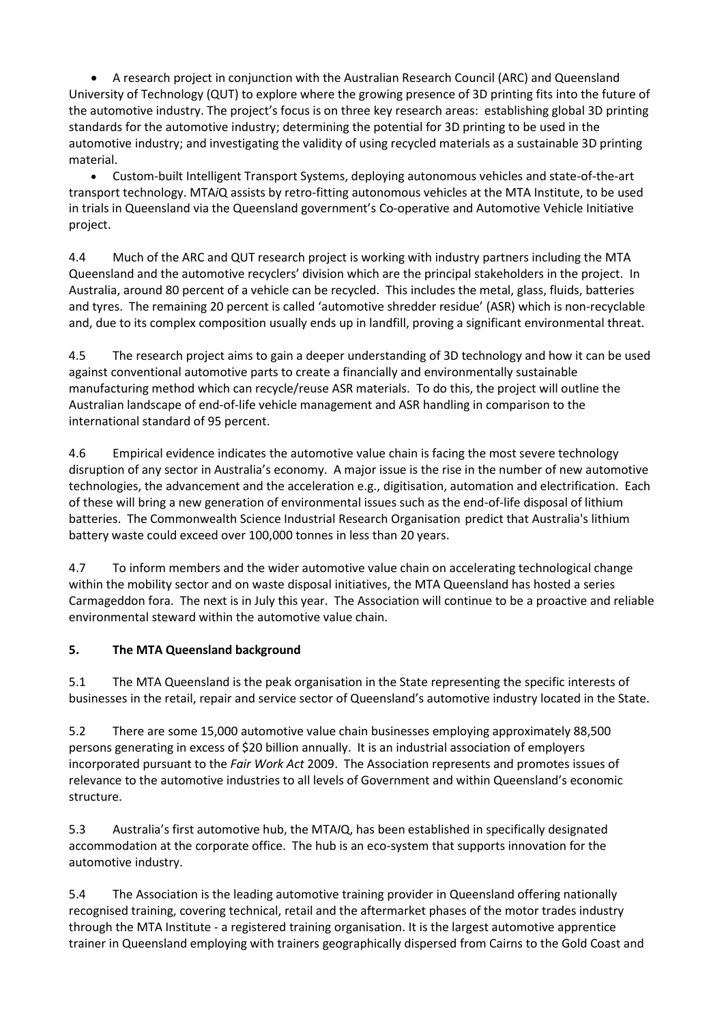• A research project in conjunction with the Australian Research Council (ARC) and Queensland University of Technology (QUT) to explore where the growing presence of 3D printing fits into the future of the automotive industry. The project's focus is on three key research areas: establishing global 3D printing standards for the automotive industry; determining the potential for 3D printing to be used in the automotive industry; and investigating the validity of using recycled materials as a sustainable 3D printing material.

• Custom-built Intelligent Transport Systems, deploying autonomous vehicles and state-of-the-art transport technology. MTA*i*Q assists by retro-fitting autonomous vehicles at the MTA Institute, to be used in trials in Queensland via the Queensland government's Co-operative and Automotive Vehicle Initiative project.

4.4 Much of the ARC and QUT research project is working with industry partners including the MTA Queensland and the automotive recyclers' division which are the principal stakeholders in the project. In Australia, around 80 percent of a vehicle can be recycled. This includes the metal, glass, fluids, batteries and tyres. The remaining 20 percent is called 'automotive shredder residue' (ASR) which is non-recyclable and, due to its complex composition usually ends up in landfill, proving a significant environmental threat.

4.5 The research project aims to gain a deeper understanding of 3D technology and how it can be used against conventional automotive parts to create a financially and environmentally sustainable manufacturing method which can recycle/reuse ASR materials. To do this, the project will outline the Australian landscape of end-of-life vehicle management and ASR handling in comparison to the international standard of 95 percent.

4.6 Empirical evidence indicates the automotive value chain is facing the most severe technology disruption of any sector in Australia's economy. A major issue is the rise in the number of new automotive technologies, the advancement and the acceleration e.g., digitisation, automation and electrification. Each of these will bring a new generation of environmental issues such as the end-of-life disposal of lithium batteries. The Commonwealth Science Industrial Research Organisation predict that Australia's lithium battery waste could exceed over 100,000 tonnes in less than 20 years.

4.7 To inform members and the wider automotive value chain on accelerating technological change within the mobility sector and on waste disposal initiatives, the MTA Queensland has hosted a series Carmageddon fora. The next is in July this year. The Association will continue to be a proactive and reliable environmental steward within the automotive value chain.

#### **5. The MTA Queensland background**

5.1 The MTA Queensland is the peak organisation in the State representing the specific interests of businesses in the retail, repair and service sector of Queensland's automotive industry located in the State.

5.2 There are some 15,000 automotive value chain businesses employing approximately 88,500 persons generating in excess of \$20 billion annually. It is an industrial association of employers incorporated pursuant to the *Fair Work Act* 2009. The Association represents and promotes issues of relevance to the automotive industries to all levels of Government and within Queensland's economic structure.

5.3 Australia's first automotive hub, the MTA*I*Q, has been established in specifically designated accommodation at the corporate office. The hub is an eco-system that supports innovation for the automotive industry.

5.4 The Association is the leading automotive training provider in Queensland offering nationally recognised training, covering technical, retail and the aftermarket phases of the motor trades industry through the MTA Institute - a registered training organisation. It is the largest automotive apprentice trainer in Queensland employing with trainers geographically dispersed from Cairns to the Gold Coast and